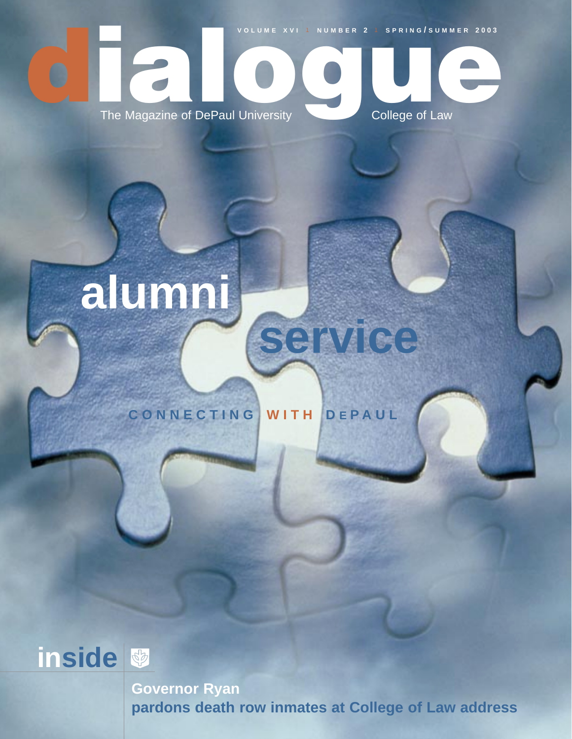

## **alumni**

## **CONNECTING WITH D E P AUL**



**Governor Ryan pardons death row inmates at College of Law address**

**service**